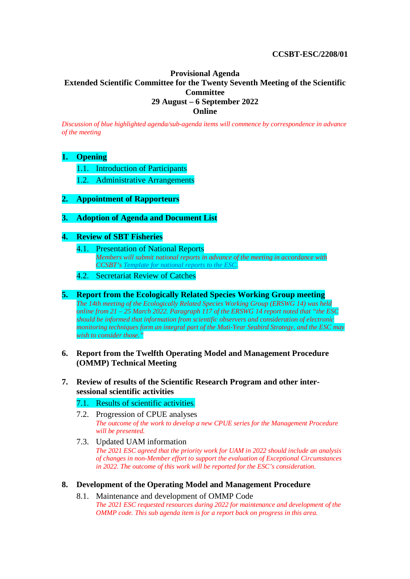## **CCSBT-ESC/2208/01**

# **Provisional Agenda Extended Scientific Committee for the Twenty Seventh Meeting of the Scientific Committee 29 August – 6 September 2022 Online**

*Discussion of blue highlighted agenda/sub-agenda items will commence by correspondence in advance of the meeting*

### **1. Opening**

- 1.1. Introduction of Participants
- 1.2. Administrative Arrangements

## **2. Appointment of Rapporteurs**

### **3. Adoption of Agenda and Document List**

## **4. Review of SBT Fisheries**

- 4.1. Presentation of National Reports *Members will submit national reports in advance of the meeting in accordance with CCSBT's [Template for national reports to the ESC.](https://www.ccsbt.org/sites/default/files/userfiles/file/templates/Annual%20Report%20to%20ESC.docx)*
- 4.2. Secretariat Review of Catches

#### **5. Report from the Ecologically Related Species Working Group meeting** *The 14th meeting of the Ecologically Related Species Working Group (ERSWG 14) was held online from 21 – 25 March 2022. Paragraph 117 of the ERSWG 14 report noted that "the ESC should be informed that information from scientific observers and consideration of electronic monitoring techniques form an integral part of the Muti-Year Seabird Strategy, and the ESC may wish to consider those."*

## **6. Report from the Twelfth Operating Model and Management Procedure (OMMP) Technical Meeting**

### **7. Review of results of the Scientific Research Program and other intersessional scientific activities**

### 7.1. Results of scientific activities*.*

- 7.2. Progression of CPUE analyses *The outcome of the work to develop a new CPUE series for the Management Procedure will be presented.*
- 7.3. Updated UAM information *The 2021 ESC agreed that the priority work for UAM in 2022 should include an analysis of changes in non-Member effort to support the evaluation of Exceptional Circumstances in 2022. The outcome of this work will be reported for the ESC's consideration.*

### **8. Development of the Operating Model and Management Procedure**

8.1. Maintenance and development of OMMP Code *The 2021 ESC requested resources during 2022 for maintenance and development of the OMMP code. This sub agenda item is for a report back on progress in this area.*